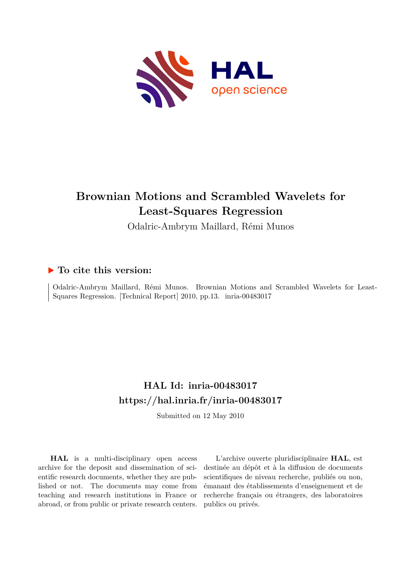

# **Brownian Motions and Scrambled Wavelets for Least-Squares Regression**

Odalric-Ambrym Maillard, Rémi Munos

# **To cite this version:**

Odalric-Ambrym Maillard, Rémi Munos. Brownian Motions and Scrambled Wavelets for Least-Squares Regression. [Technical Report] 2010, pp.13. inria-00483017

# **HAL Id: inria-00483017 <https://hal.inria.fr/inria-00483017>**

Submitted on 12 May 2010

**HAL** is a multi-disciplinary open access archive for the deposit and dissemination of scientific research documents, whether they are published or not. The documents may come from teaching and research institutions in France or abroad, or from public or private research centers.

L'archive ouverte pluridisciplinaire **HAL**, est destinée au dépôt et à la diffusion de documents scientifiques de niveau recherche, publiés ou non, émanant des établissements d'enseignement et de recherche français ou étrangers, des laboratoires publics ou privés.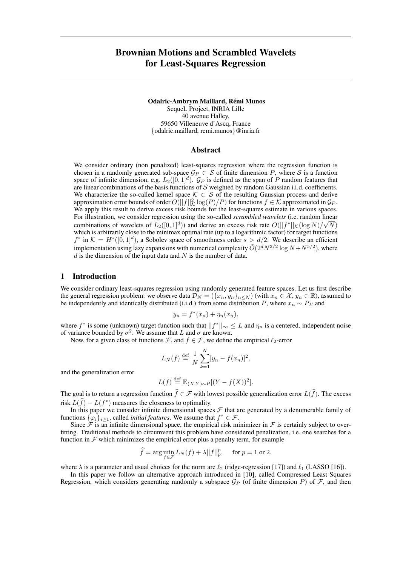# Brownian Motions and Scrambled Wavelets for Least-Squares Regression

Odalric-Ambrym Maillard, Rémi Munos

SequeL Project, INRIA Lille 40 avenue Halley, 59650 Villeneuve d'Ascq, France {odalric.maillard, remi.munos}@inria.fr

#### Abstract

We consider ordinary (non penalized) least-squares regression where the regression function is chosen in a randomly generated sub-space  $\mathcal{G}_P \subset \mathcal{S}$  of finite dimension P, where  $\mathcal{S}$  is a function space of infinite dimension, e.g.  $L_2([0,1]^d)$ .  $\mathcal{G}_P$  is defined as the span of P random features that are linear combinations of the basis functions of  $S$  weighted by random Gaussian i.i.d. coefficients. We characterize the so-called kernel space  $K \subset S$  of the resulting Gaussian process and derive approximation error bounds of order  $O( ||f||^2_{\mathcal{K}} \log(P)/P)$  for functions  $f \in \mathcal{K}$  approximated in  $\mathcal{G}_P$ . We apply this result to derive excess risk bounds for the least-squares estimate in various spaces. For illustration, we consider regression using the so-called *scrambled wavelets* (i.e. random linear √ combinations of wavelets of  $L_2([0,1]^d)$ ) and derive an excess risk rate  $O(||f^*||_{\mathcal{K}}(\log N)/\sqrt{N})$ which is arbitrarily close to the minimax optimal rate (up to a logarithmic factor) for target functions  $f^*$  in  $\mathcal{K} = H^s([0,1]^d)$ , a Sobolev space of smoothness order  $s > d/2$ . We describe an efficient implementation using lazy expansions with numerical complexity  $\tilde{O}(2^dN^{3/2} \log N + N^{5/2})$ , where  $d$  is the dimension of the input data and  $N$  is the number of data.

## 1 Introduction

We consider ordinary least-squares regression using randomly generated feature spaces. Let us first describe the general regression problem: we observe data  $\mathcal{D}_N = (\{x_n, y_n\}_{n\leq N})$  (with  $x_n \in \mathcal{X}, y_n \in \mathbb{R}$ ), assumed to be independently and identically distributed (i.i.d.) from some distribution P, where  $x_n \sim P_{\mathcal{X}}$  and

$$
y_n = f^*(x_n) + \eta_n(x_n),
$$

where  $f^*$  is some (unknown) target function such that  $||f^*||_{\infty} \leq L$  and  $\eta_n$  is a centered, independent noise of variance bounded by  $\sigma^2$ . We assume that L and  $\sigma$  are known.

Now, for a given class of functions F, and  $f \in \mathcal{F}$ , we define the empirical  $\ell_2$ -error

$$
L_N(f) \stackrel{\text{def}}{=} \frac{1}{N} \sum_{k=1}^{N} [y_n - f(x_n)]^2
$$

,

and the generalization error

$$
L(f) \stackrel{\text{def}}{=} \mathbb{E}_{(X,Y)\sim P}[(Y - f(X))^2].
$$

The goal is to return a regression function  $\hat{f} \in \mathcal{F}$  with lowest possible generalization error  $L(\hat{f})$ . The excess risk  $L(\hat{f}) - L(f^*)$  measures the closeness to optimality.

In this paper we consider infinite dimensional spaces  $F$  that are generated by a denumerable family of functions  $\{\varphi_i\}_{i\geq 1}$ , called *initial features*. We assume that  $f^* \in \mathcal{F}$ .

Since  $\mathcal F$  is an infinite dimensional space, the empirical risk minimizer in  $\mathcal F$  is certainly subject to overfitting. Traditional methods to circumvent this problem have considered penalization, i.e. one searches for a function in  $F$  which minimizes the empirical error plus a penalty term, for example

$$
\widehat{f} = \arg\min_{f \in \mathcal{F}} L_N(f) + \lambda ||f||_p^p, \quad \text{ for } p = 1 \text{ or } 2.
$$

where  $\lambda$  is a parameter and usual choices for the norm are  $\ell_2$  (ridge-regression [17]) and  $\ell_1$  (LASSO [16]).

In this paper we follow an alternative approach introduced in [10], called Compressed Least Squares Regression, which considers generating randomly a subspace  $\mathcal{G}_P$  (of finite dimension P) of F, and then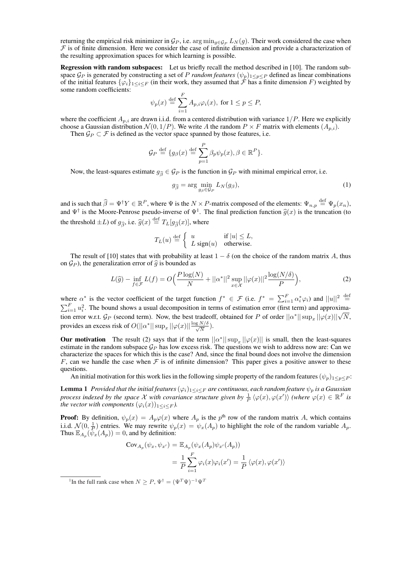returning the empirical risk minimizer in  $\mathcal{G}_P$ , i.e.  $\arg \min_{g \in \mathcal{G}_P} L_N(g)$ . Their work considered the case when  $F$  is of finite dimension. Here we consider the case of infinite dimension and provide a characterization of the resulting approximation spaces for which learning is possible.

Regression with random subspaces: Let us briefly recall the method described in [10]. The random subspace  $\mathcal{G}_P$  is generated by constructing a set of P *random features*  $(\psi_p)_{1 \leq p \leq P}$  defined as linear combinations of the initial features  $\{\varphi_i\}_{1\leq i\leq F}$  (in their work, they assumed that  $\tilde{\mathcal{F}}$  has a finite dimension  $F$ ) weighted by some random coefficients:

$$
\psi_p(x) \stackrel{\text{def}}{=} \sum_{i=1}^F A_{p,i} \varphi_i(x), \text{ for } 1 \le p \le P,
$$

where the coefficient  $A_{p,i}$  are drawn i.i.d. from a centered distribution with variance  $1/P$ . Here we explicitly choose a Gaussian distribution  $\mathcal{N}(0, 1/P)$ . We write A the random  $P \times F$  matrix with elements  $(A_{p,i})$ .

Then  $\mathcal{G}_P \subset \mathcal{F}$  is defined as the vector space spanned by those features, i.e.

$$
\mathcal{G}_P \stackrel{\text{def}}{=} \{g_\beta(x) \stackrel{\text{def}}{=} \sum_{p=1}^P \beta_p \psi_p(x), \beta \in \mathbb{R}^P \}.
$$

Now, the least-squares estimate  $g_{\hat{\beta}} \in \mathcal{G}_P$  is the function in  $\mathcal{G}_P$  with minimal empirical error, i.e.

$$
g_{\widehat{\beta}} = \arg\min_{g_{\beta} \in \mathcal{G}_P} L_N(g_{\beta}),\tag{1}
$$

and is such that  $\hat{\beta} = \Psi^{\dagger} Y \in \mathbb{R}^{P}$ , where  $\Psi$  is the  $N \times P$ -matrix composed of the elements:  $\Psi_{n,p} \stackrel{\text{def}}{=} \Psi_{p}(x_{n}),$ and  $\Psi^{\dagger}$  is the Moore-Penrose pseudo-inverse of  $\Psi^1$ . The final prediction function  $\hat{g}(x)$  is the truncation (to the threshold  $\pm L$ ) of  $g_{\widehat{\beta}}$ , i.e.  $\widehat{g}(x) \stackrel{\text{def}}{=} T_L[g_{\widehat{\beta}}(x)],$  where

$$
T_L(u) \stackrel{\text{def}}{=} \begin{cases} u & \text{if } |u| \leq L, \\ L \text{ sign}(u) & \text{otherwise.} \end{cases}
$$

The result of [10] states that with probability at least  $1 - \delta$  (on the choice of the random matrix A, thus on  $\mathcal{G}_P$ ), the generalization error of  $\hat{g}$  is bounded as

$$
L(\widehat{g}) - \inf_{f \in \mathcal{F}} L(f) = O\Big(\frac{P \log(N)}{N} + ||\alpha^*||^2 \sup_{x \in \mathcal{X}} ||\varphi(x)||^2 \frac{\log(N/\delta)}{P}\Big),\tag{2}
$$

where  $\alpha^*$  is the vector coefficient of the target function  $f^* \in \mathcal{F}$  (i.e.  $f^* = \sum_{i=1}^F \alpha_i^* \varphi_i$ ) and  $||u||^2 \stackrel{\text{def}}{=}$ <br> $\sum_{i=1}^F \alpha_i^2 \varphi_i$ ) and  $||u||^2$  $_{i=1}^{F} u_i^2$ . The bound shows a usual decomposition in terms of estimation error (first term) and approxima- $\sum_{i=1}^{\infty} u_i$ . The bound shows a usual decomposition in terms of estimation error (inst term) and approximation error w.r.t.  $\mathcal{G}_P$  (second term). Now, the best tradeoff, obtained for P of order  $||\alpha^*|| \sup_x ||\varphi(x)||\sqrt{N$ provides an excess risk of  $O(||\alpha^*|| \sup_x ||\varphi(x)|| \frac{\log N/\delta}{\sqrt{N}})$ .

**Our motivation** The result (2) says that if the term  $||\alpha^*|| \sup_x ||\varphi(x)||$  is small, then the least-squares estimate in the random subspace  $\mathcal{G}_P$  has low excess risk. The questions we wish to address now are: Can we characterize the spaces for which this is the case? And, since the final bound does not involve the dimension F, can we handle the case when F is of infinite dimension? This paper gives a positive answer to these questions.

An initial motivation for this work lies in the following simple property of the random features  $(\psi_p)_{1\leq p\leq P}$ :

**Lemma 1** *Provided that the initial features*  $(\varphi_i)_{1\leq i\leq F}$  *are continuous, each random feature*  $\psi_p$  *is a Gaussian process indexed by the space*  $\mathcal X$  *with covariance structure given by*  $\frac{1}{P} \langle \varphi(x), \varphi(x') \rangle$  *(where*  $\varphi(x) \in \mathbb R^F$  *is the vector with components*  $(\varphi_i(x))_{1 \leq i \leq F}$ *).* 

**Proof:** By definition,  $\psi_p(x) = A_p \varphi(x)$  where  $A_p$  is the  $p^{\text{th}}$  row of the random matrix A, which contains i.i.d.  $\mathcal{N}(0, \frac{1}{p})$  entries. We may rewrite  $\psi_p(x) = \psi_x(A_p)$  to highlight the role of the random variable  $A_p$ . Thus  $\mathbb{E}_{A_p}(\psi_x(A_p)) = 0$ , and by definition:

$$
Cov_{A_p}(\psi_x, \psi_{x'}) = \mathbb{E}_{A_p}(\psi_x(A_p)\psi_{x'}(A_p))
$$
  
= 
$$
\frac{1}{P} \sum_{i=1}^P \varphi_i(x)\varphi_i(x') = \frac{1}{P} \langle \varphi(x), \varphi(x') \rangle
$$

<sup>&</sup>lt;sup>1</sup>In the full rank case when  $N \geq P$ ,  $\Psi^{\dagger} = (\Psi^T \Psi)^{-1} \Psi^T$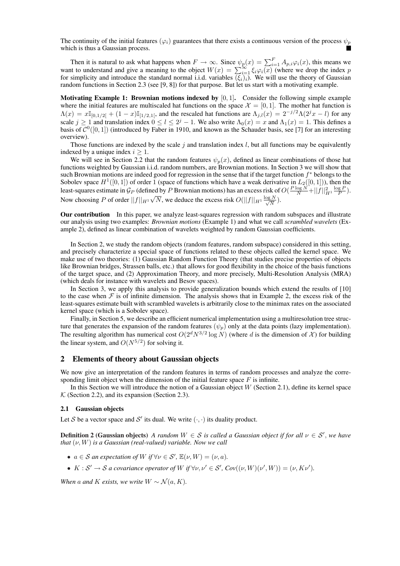The continuity of the initial features ( $\varphi_i$ ) guarantees that there exists a continuous version of the process  $\psi_p$ which is thus a Gaussian process.

Then it is natural to ask what happens when  $F \to \infty$ . Since  $\psi_p(x) = \sum_{i=1}^F A_{p,i} \varphi_i(x)$ , this means we want to understand and give a meaning to the object  $W(x) = \sum_{i=1}^{\infty} \xi_i \varphi_i(x)$  (where we drop the index p for simplicity and introduce the standard normal i.i.d. variables  $(\xi_i)_i$ ). We will use the theory of Gaussian random functions in Section 2.3 (see [9, 8]) for that purpose. But let us start with a motivating example.

Motivating Example 1: Brownian motions indexed by  $[0, 1]$ . Consider the following simple example where the initial features are multiscaled hat functions on the space  $\mathcal{X} = [0, 1]$ . The mother hat function is  $\Lambda(x) = x\mathbb{I}_{[0,1/2]} + (1-x)\mathbb{I}_{[1/2,1]}$ , and the rescaled hat functions are  $\Lambda_{i,l}(x) = 2^{-j/2}\Lambda(2^{j}x - l)$  for any scale  $j \ge 1$  and translation index  $0 \le l \le 2^j - 1$ . We also write  $\Lambda_0(x) = x$  and  $\Lambda_1(x) = 1$ . This defines a basis of  $\mathcal{C}^0([0,1])$  (introduced by Faber in 1910, and known as the Schauder basis, see [7] for an interesting overview).

Those functions are indexed by the scale  $j$  and translation index  $l$ , but all functions may be equivalently indexed by a unique index  $i \geq 1$ .

We will see in Section 2.2 that the random features  $\psi_p(x)$ , defined as linear combinations of those hat functions weighted by Gaussian i.i.d. random numbers, are Brownian motions. In Section 3 we will show that such Brownian motions are indeed good for regression in the sense that if the target function  $f^*$  belongs to the Sobolev space  $H^1([0,1])$  of order 1 (space of functions which have a weak derivative in  $L_2([0,1])$ ), then the least-squares estimate in  $\mathcal{G}_P$  (defined by P Brownian motions) has an excess risk of  $O(\frac{P \log N}{N} + ||f||_{H^1}^2 \log P)$ . Now choosing P of order  $||f||_{H^1}$ √  $\overline{N}$ , we deduce the excess risk  $O(||f||_{H^1} \frac{\log N}{\sqrt{N}})$  $\frac{N}{N}$ ).

Our contribution In this paper, we analyze least-squares regression with random subspaces and illustrate our analysis using two examples: *Brownian motions* (Example 1) and what we call *scrambled wavelets* (Example 2), defined as linear combination of wavelets weighted by random Gaussian coefficients.

In Section 2, we study the random objects (random features, random subspace) considered in this setting, and precisely characterize a special space of functions related to these objects called the kernel space. We make use of two theories: (1) Gaussian Random Function Theory (that studies precise properties of objects like Brownian bridges, Strassen balls, etc.) that allows for good flexibility in the choice of the basis functions of the target space, and (2) Approximation Theory, and more precisely, Multi-Resolution Analysis (MRA) (which deals for instance with wavelets and Besov spaces).

In Section 3, we apply this analysis to provide generalization bounds which extend the results of [10] to the case when  $\mathcal F$  is of infinite dimension. The analysis shows that in Example 2, the excess risk of the least-squares estimate built with scrambled wavelets is arbitrarily close to the minimax rates on the associated kernel space (which is a Sobolev space).

Finally, in Section 5, we describe an efficient numerical implementation using a multiresolution tree structure that generates the expansion of the random features  $(\psi_p)$  only at the data points (lazy implementation). The resulting algorithm has numerical cost  $O(2^d N^{3/2} \log N)$  (where d is the dimension of X) for building the linear system, and  $O(N^{5/2})$  for solving it.

# 2 Elements of theory about Gaussian objects

We now give an interpretation of the random features in terms of random processes and analyze the corresponding limit object when the dimension of the initial feature space  $F$  is infinite.

In this Section we will introduce the notion of a Gaussian object  $W$  (Section 2.1), define its kernel space  $K$  (Section 2.2), and its expansion (Section 2.3).

#### 2.1 Gaussian objects

Let S be a vector space and S' its dual. We write  $(\cdot, \cdot)$  its duality product.

**Definition 2 (Gaussian objects)** *A random*  $W \in S$  *is called a Gaussian object if for all*  $v \in S'$ *, we have that*  $(\nu, W)$  *is a Gaussian (real-valued) variable. Now we call* 

- $a \in S$  *an expectation of*  $W$  *if*  $\forall \nu \in S'$ ,  $\mathbb{E}(\nu, W) = (\nu, a)$ *.*
- $K: \mathcal{S}' \to \mathcal{S}$  *a covariance operator of* W if  $\forall v, v' \in \mathcal{S}'$ ,  $Cov((v, W)(v', W)) = (v, Kv')$ .

*When* a and *K exists, we write*  $W \sim \mathcal{N}(a, K)$ *.*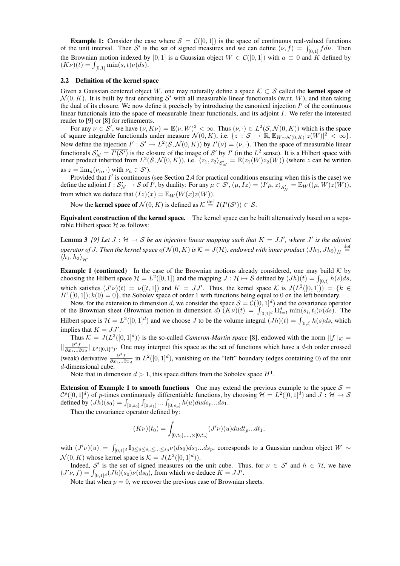**Example 1:** Consider the case where  $S = C([0, 1])$  is the space of continuous real-valued functions **Example 1:** Consider the case where  $S = C([0, 1])$  is the space of continuous real-valued functions of the unit interval. Then S' is the set of signed measures and we can define  $(\nu, f) = \int_{[0, 1]} f d\nu$ . Then the Brownian motion indexed by [0, 1] is a Gaussian object  $W \in C([0, 1])$  with  $a \equiv 0$  and K defined by the Brownian motion indexed by<br>  $(K\nu)(t) = \int_{[0,1]} \min(s,t)\nu(ds).$ 

#### 2.2 Definition of the kernel space

Given a Gaussian centered object W, one may naturally define a space  $K \subset S$  called the **kernel space** of  $\mathcal{N}(0, K)$ . It is built by first enriching S' with all measurable linear functionals (w.r.t. W), and then taking the dual of its closure. We now define it precisely by introducing the canonical injection  $I'$  of the continuous linear functionals into the space of measurable linear functionals, and its adjoint I. We refer the interested reader to [9] or [8] for refinements.

For any  $\nu \in S'$ , we have  $(\nu, K\nu) = \mathbb{E}(\nu, W)^2 < \infty$ . Thus  $(\nu, \cdot) \in L^2(\mathcal{S}, \mathcal{N}(0, K))$  which is the space of square integrable functionals under measure  $\mathcal{N}(0, K)$ , i.e.  $\{z : \mathcal{S} \to \mathbb{R}, \mathbb{E}_{W \sim \mathcal{N}(0, K)} |z(W)|^2 < \infty \}$ . Now define the injection  $I': S' \to L^2(S, \mathcal{N}(0, K))$  by  $I'(\nu) = (\nu, \cdot)$ . Then the space of measurable linear functionals  $S'_N = \overline{I'(\mathcal{S}')}$  is the closure of the image of  $\mathcal{S}'$  by  $I'$  (in the  $L^2$  sense). It is a Hilbert space with inner product inherited from  $L^2(S, \mathcal{N}(0, K))$ , i.e.  $\langle z_1, z_2 \rangle_{S'_{\mathcal{N}}} = \mathbb{E}(z_1(W)z_2(W))$  (where z can be written as  $z = \lim_n (\nu_n, \cdot)$  with  $\nu_n \in \mathcal{S}'$ ).

Provided that  $I'$  is continuous (see Section 2.4 for practical conditions ensuring when this is the case) we define the adjoint  $I: S'_{\mathcal{N}} \to S$  of  $I'$ , by duality: For any  $\mu \in S'$ ,  $(\mu, Iz) = \langle I'\mu, z \rangle_{S'_{\mathcal{N}}} = \mathbb{E}_W((\mu, W)z(W))$ , from which we deduce that  $(Iz)(x) = \mathbb{E}_W(W(x)z(W)).$ 

Now the **kernel space of**  $\mathcal{N}(0, K)$  is defined as  $\mathcal{K} \stackrel{\text{def}}{=} I(\overline{I'(\mathcal{S}')} ) \subset \mathcal{S}$ .

Equivalent construction of the kernel space. The kernel space can be built alternatively based on a separable Hilbert space  $H$  as follows:

**Lemma 3** [9] Let  $J : \mathcal{H} \to \mathcal{S}$  be an injective linear mapping such that  $K = JJ'$ , where  $J'$  is the adjoint  $\hat{p}$  *operator of J. Then the kernel space of*  $\mathcal{N}(0,K)$  *is*  $\mathcal{K}=J(\mathcal{H})$ *, endowed with inner product*  $\langle Jh_1,Jh_2\rangle_H\stackrel{\mathrm{def}}{=}$  $\langle h_1, h_2 \rangle_{\mathcal{H}}.$ 

**Example 1 (continued)** In the case of the Brownian motions already considered, one may build  $K$  by **Example 1 (continued)** In the case of the Brownian motions already considered, one may build  $\mathcal{K}$  by choosing the Hilbert space  $\mathcal{H} = L^2([0,1])$  and the mapping  $J : \mathcal{H} \mapsto \mathcal{S}$  defined by  $(Jh)(t) = \int_{[0,t]} h(s)ds$ , which satisfies  $(J'\nu)(t) = \nu([t, 1])$  and  $K = JJ'$ . Thus, the kernel space K is  $J(L^2([0, 1])) = \{k \in$  $H^1([0, 1]); k(0) = 0$ , the Sobolev space of order 1 with functions being equal to 0 on the left boundary.

Now, for the extension to dimension d, we consider the space  $S = \mathcal{C}([0,1]^d)$  and the covariance operator Now, for the extension to dimension d, we consider the space  $S = C([0, 1]^{\alpha})$  and the covariance operator of the Brownian sheet (Brownian motion in dimension d)  $(K\nu)(t) = \int_{[0, 1]^d} \Pi_{i=1}^d \min(s_i, t_i)\nu(ds)$ . The Hilbert space is  $\mathcal{H} = L^2([0,1]^d)$  and we choose J to be the volume integral  $(Jh)(t) = \int_{[0,t]} h(s)ds$ , which implies that  $K = JJ'$ .

Thus  $K = J(L^2([0,1]^d))$  is the so-called *Cameron-Martin space* [8], endowed with the norm  $||f||_{\mathcal{K}} =$  $\|\frac{\partial^d f}{\partial x_1...\partial x_d}\|_{L^2([0,1]^d)}$ . One may interpret this space as the set of functions which have a d-th order crossed (weak) derivative  $\frac{\partial^d f}{\partial x_1...\partial x_d}$  in  $L^2([0,1]^d)$ , vanishing on the "left" boundary (edges containing 0) of the unit d-dimensional cube.

Note that in dimension  $d > 1$ , this space differs from the Sobolev space  $H^1$ .

Extension of Example 1 to smooth functions One may extend the previous example to the space  $S =$  $\mathcal{C}^p([0,1]^d)$  of p-times continuously differentiable functions, by choosing  $\mathcal{H} = L^2([0,1]^d)$  and  $J: \mathcal{H} \to \mathcal{S}$  $C^{p}([0, 1]^{\alpha})$  of *p*-times continuously differentiable functions, by defined by  $(Jh)(s_0) = \int_{[0, s_0]} \int_{[0, s_1]} ... \int_{[0, s_p]} h(u) du ds_p...ds_1$ .

Then the covariance operator defined by:

$$
(K\nu)(t_0) = \int_{[0,t_0],\ldots,\times[0,t_p]} (J'\nu)(u) du dt_p...dt_1,
$$

with  $(J'\nu)(u) = \int_{[0,1]^d} \mathbb{I}_{0 \le u \le s_p \le ... \le s_0} \nu(ds_0) ds_1...ds_p$ , corresponds to a Gaussian random object  $W \sim$  $\mathcal{N}(0, K)$  whose kernel space is  $\mathcal{K} = J(L^2([0, 1]^d)).$ 

Indeed, S' is the set of signed measures on the unit cube. Thus, for  $\nu \in S'$  and  $h \in H$ , we have Indeed, S' is the set of signed measures on the unit cube. The  $(J'\nu, f) = \int_{[0,1]^d} (Jh)(s_0)\nu(ds_0)$ , from which we deduce  $K = JJ'$ .

Note that when  $p = 0$ , we recover the previous case of Brownian sheets.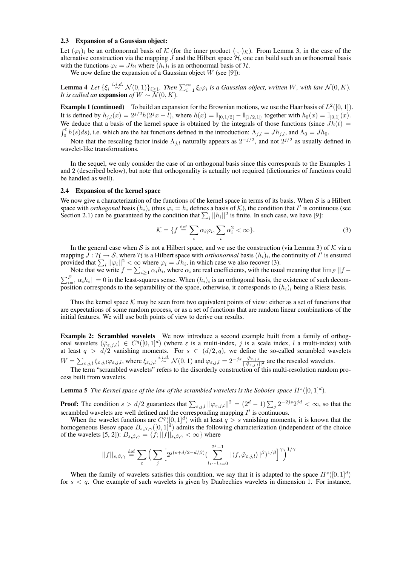#### 2.3 Expansion of a Gaussian object:

Let  $(\varphi_i)_i$  be an orthonormal basis of K (for the inner product  $\langle \cdot, \cdot \rangle_{\mathcal{K}}$ ). From Lemma 3, in the case of the alternative construction via the mapping  $J$  and the Hilbert space  $H$ , one can build such an orthonormal basis with the functions  $\varphi_i = J h_i$  where  $(h_i)_i$  is an orthonormal basis of  $H$ .

We now define the expansion of a Gaussian object  $W$  (see [9]):

**Lemma 4** Let  $\{\xi_i \stackrel{i.i.d.}{\sim} \mathcal{N}(0,1)\}_{i\geq 1}$ , Then  $\sum_{i=1}^{\infty} \xi_i \varphi_i$  is a Gaussian object, written W, with law  $\mathcal{N}(0,K)$ . *It is called an* expansion *of*  $W \sim \overline{\mathcal{N}}(0, K)$ *.* 

**Example 1 (continued)** To build an expansion for the Brownian motions, we use the Haar basis of  $L^2([0,1])$ . It is defined by  $h_{j,l}(x) = 2^{j/2}h(2^{j}x - l)$ , where  $h(x) = \mathbb{I}_{[0,1/2]} - \mathbb{I}_{[1/2,1]}$ , together with  $h_0(x) = \mathbb{I}_{[0,1]}(x)$ . We deduce that a basis of the kernel space is obtained by the integrals of those functions (since  $Jh(t) =$  $\int_0^t h(s)ds$ ), i.e. which are the hat functions defined in the introduction:  $\Lambda_{j,l} = Jh_{j,l}$ , and  $\Lambda_0 = Jh_0$ .

Note that the rescaling factor inside  $\Lambda_{j,l}$  naturally appears as  $2^{-j/2}$ , and not  $2^{j/2}$  as usually defined in wavelet-like transformations.

In the sequel, we only consider the case of an orthogonal basis since this corresponds to the Examples 1 and 2 (described below), but note that orthogonality is actually not required (dictionaries of functions could be handled as well).

#### 2.4 Expansion of the kernel space

We now give a characterization of the functions of the kernel space in terms of its basis. When  $S$  is a Hilbert space with *orthogonal* basis  $(h_i)_i$  (thus  $\varphi_i = h_i$  defines a basis of  $K$ ), the condition that I' is continuous (see space with *orthogonal* basis  $(n_i)_i$  (thus  $\varphi_i = n_i$  defines a basis of  $\lambda$ ), the condition that  $T$  is continual Section 2.1) can be guaranteed by the condition that  $\sum_i ||h_i||^2$  is finite. In such case, we have [9]:

$$
\mathcal{K} = \{ f \stackrel{\text{def}}{=} \sum_{i} \alpha_i \varphi_i, \sum_{i} \alpha_i^2 < \infty \}. \tag{3}
$$

In the general case when S is not a Hilbert space, and we use the construction (via Lemma 3) of K via a mapping  $\bar{J}: \mathcal{H} \to \mathcal{S}$ , where  $\mathcal{H}$  is a Hilbert space with *orthonormal* basis  $(h_i)_i$ , the continuity of  $I'$  is ensured provided that  $\sum_i ||\varphi_i||^2 < \infty$  where  $\varphi_i = Jh_i$ , in which case we also recover (3).

provided that  $\sum_i ||\varphi_i||^2 < \infty$  where  $\varphi_i = Jh_i$ , in which case we also recover (3).<br>Note that we write  $f = \sum_{i \ge 1} \alpha_i h_i$ , where  $\alpha_i$  are real coefficients, with the usual meaning that  $\lim_F ||f - f_F||$  $\|h_i^F\| = 0$  in the least-squares sense. When  $(h_i)_i$  is an orthogonal basis, the existence of such decomposition corresponds to the separability of the space, otherwise, it corresponds to  $(h_i)_i$  being a Riesz basis.

Thus the kernel space  $K$  may be seen from two equivalent points of view: either as a set of functions that are expectations of some random process, or as a set of functions that are random linear combinations of the initial features. We will use both points of view to derive our results.

Example 2: Scrambled wavelets We now introduce a second example built from a family of orthogonal wavelets  $(\tilde{\varphi}_{\varepsilon,j,l}) \in C^q([0,1]^d)$  (where  $\varepsilon$  is a multi-index, j is a scale index, l a multi-index) with at least  $q > d/2$  vanishing moments. For  $s \in (d/2, q)$ , we define the so-called scrambled wavelets  $W = \sum_{\varepsilon,j,l} \xi_{\varepsilon,j,l} \varphi_{\varepsilon,j,l}$ , where  $\xi_{\varepsilon,j,l} \stackrel{i.i.d.}{\sim} \mathcal{N}(0,1)$  and  $\varphi_{\varepsilon,j,l} = 2^{-js} \frac{\varphi_{\varepsilon,j,l}}{|\varphi_{\varepsilon,j,l}|^2}$  are the rescaled wavelets.

The term "scrambled wavelets" refers to the disorderly construction of this multi-resolution random process built from wavelets.

**Lemma 5** The Kernel space of the law of the scrambled wavelets is the Sobolev space  $H^s([0,1]^d)$ .

**Proof:** The condition  $s > d/2$  guarantees that  $\sum_{\varepsilon, j, l} ||\varphi_{\varepsilon, j, l}||^2 = (2^d - 1) \sum_j 2^{-2js} 2^{jd} < \infty$ , so that the scrambled wavelets are well defined and the corresponding mapping  $I'$  is continuous.

When the wavelet functions are  $C^{q}([0,1]^{d})$  with at least  $q > s$  vanishing moments, it is known that the homogeneous Besov space  $B_{s,\beta,\gamma}([0,1]^d)$  admits the following characterization (independent of the choice of the wavelets [5, 2]):  $B_{s,\beta,\gamma} = \{f; ||f||_{s,\beta,\gamma} < \infty\}$  where

$$
||f||_{s,\beta,\gamma} \stackrel{\text{def}}{=} \sum_{\varepsilon} \Big( \sum_{j} \Big[ 2^{j(s+d/2-d/\beta)} \big( \sum_{l_1 \cdots l_d=0}^{2^j-1} |\langle f, \tilde{\varphi}_{\varepsilon,j,l} \rangle|^\beta \big)^{1/\beta} \Big]^{\gamma} \Big)^{1/\gamma}
$$

When the family of wavelets satisfies this condition, we say that it is adapted to the space  $H<sup>s</sup>(0, 1]<sup>d</sup>$ for  $s < q$ . One example of such wavelets is given by Daubechies wavelets in dimension 1. For instance,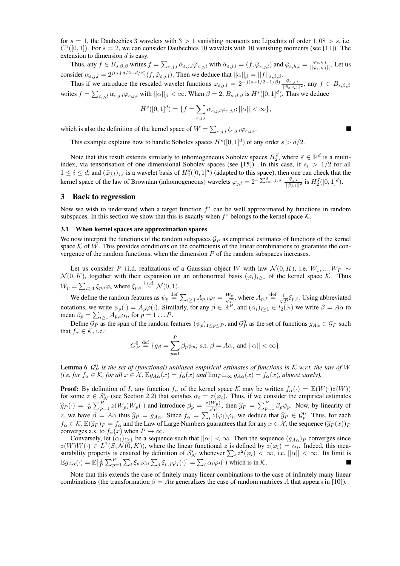for  $s = 1$ , the Daubechies 3 wavelets with  $3 > 1$  vanishing moments are Lipschitz of order  $1,08 > s$ , i.e.  $C^{1}([0,1])$ . For  $s = 2$ , we can consider Daubechies 10 wavelets with 10 vanishing moments (see [11]). The extension to dimension d is easy.

Thus, any  $f \in B_{s,\beta,\beta}$  writes  $f = \sum_{\varepsilon,j,l} \overline{\alpha}_{\varepsilon,j,l} \overline{\varphi}_{\varepsilon,j,l}$  with  $\overline{\alpha}_{\varepsilon,j,l} = (f, \overline{\varphi}_{\varepsilon,j,l})$  and  $\overline{\varphi}_{\varepsilon,h,l} = \frac{\overline{\varphi}_{\varepsilon,h,l}}{||\overline{\varphi}_{\varepsilon,h,l}||}$ . Let us consider  $\alpha_{\varepsilon,j,l} = 2^{j(s+d/2-d/\beta)}(f, \tilde{\varphi}_{\varepsilon,j,l})$ . Then we deduce that  $||\alpha||_{\beta} = ||f||_{s,\beta,\beta}$ .

Thus if we introduce the rescaled wavelet functions  $\varphi_{\varepsilon,j,l} = 2^{-j(s+1/2-1/\beta)} \frac{\varphi_{\varepsilon,j,l}}{||\varphi_{\varepsilon,j,l}||^2}$ , any  $f \in B_{s,\beta,\beta}$ writes  $f = \sum_{\varepsilon, j, l} \alpha_{\varepsilon, j, l} \varphi_{\varepsilon, j, l}$  with  $||\alpha||_{\beta} < \infty$ . When  $\beta = 2$ ,  $B_{s,\beta,\beta}$  is  $H^s([0,1]^d)$ . Thus we deduce

$$
H^{s}([0,1]^{d}) = \{f = \sum_{\varepsilon,j,l} \alpha_{\varepsilon,j,l} \varphi_{\varepsilon,j,l}; ||\alpha|| < \infty\},\
$$

 $\blacksquare$ 

which is also the definition of the kernel space of  $W = \sum_{\epsilon,j,l} \xi_{\epsilon,j,l} \varphi_{\epsilon,j,l}$ .

This example explains how to handle Sobolev spaces  $H^s([0,1]^d)$  of any order  $s > d/2$ .

Note that this result extends similarly to inhomogeneous Sobolev spaces  $H_2^{\vec{s}}$ , where  $\vec{s} \in \mathbb{R}^d$  is a multiindex, via tensorisation of one dimensional Sobolev spaces (see [15]). In this case, if  $s_i > 1/2$  for all  $1 \le i \le d$ , and  $(\tilde{\varphi}_{j,l})_{j,l}$  is a wavelet basis of  $H_2^{\vec{s}}([0,1]^d)$  (adapted to this space), then one can check that the kernel space of the law of Brownian (inhomogeneous) wavelets  $\varphi_{j,l} = 2^{-\sum_{i=1}^d j_is_i} \frac{\tilde{\varphi}_{j,l}}{||\tilde{\varphi}_{j,l}||^2}$  is  $H_2^{\tilde{g}}([0,1]^d)$ .

## 3 Back to regression

Now we wish to understand when a target function  $f^*$  can be well approximated by functions in random subspaces. In this section we show that this is exactly when  $f^*$  belongs to the kernel space  $K$ .

#### 3.1 When kernel spaces are approximation spaces

We now interpret the functions of the random subspaces  $\mathcal{G}_P$  as empirical estimates of functions of the kernel space  $K$  of W. This provides conditions on the coefficients of the linear combinations to guarantee the convergence of the random functions, when the dimension  $P$  of the random subspaces increases.

Let us consider P i.i.d. realizations of a Gaussian object W with law  $\mathcal{N}(0, K)$ , i.e.  $W_1, ..., W_P \sim$  $\mathcal{N}(0, K)$ , together with their expansion on an orthonormal basis  $(\varphi_i)_{i\geq 1}$  of the kernel space K. Thus  $W_p = \sum$  $_{i\geq 1}\xi_{p,i}\varphi_i$  where  $\xi_{p,i}\stackrel{i.i.d.}{\sim}\mathcal{N}(0,1)$ .

We define the random features as  $\psi_p \stackrel{\text{def}}{=} \sum_{i\geq 1} A_{p,i}\varphi_i = \frac{W_p}{\sqrt{p}}$  $\frac{y_p}{P}$ , where  $A_{p,i} \stackrel{\text{def}}{=} \frac{1}{\sqrt{2}}$  $\frac{1}{P} \xi_{p,i}$ . Using abbreviated notations, we write  $\psi_p(\cdot) = A_p \varphi(\cdot)$ . Similarly, for any  $\beta \in \mathbb{R}^P$ , and  $(\alpha_i)_{i \geq 1} \in l_2(\mathbb{N})$  we write  $\beta = A\alpha$  to notations, we write  $\psi_p(\cdot) = A_p \varphi(\cdot)$ . Sim<br>mean  $\beta_p = \sum_{i \geq 1} A_{p,i} \alpha_i$ , for  $p = 1 \dots P$ .

Define  $G_P$  as the span of the random features  $(\psi_p)_{1 \leq p \leq P}$ , and  $G_P^0$  as the set of functions  $g_{A\alpha} \in G_P$  such that  $f_{\alpha} \in \mathcal{K}$ , i.e.:

$$
G_P^0 \stackrel{\text{def}}{=} \{ g_\beta = \sum_{p=1}^P \beta_p \psi_p; \text{ s.t. } \beta = A\alpha, \text{ and } ||\alpha|| < \infty \}.
$$

**Lemma 6**  $\mathcal{G}_P^0$  is the set of (functional) unbiased empirical estimates of functions in K w.r.t. the law of W *(i.e. for*  $f_{\alpha} \in \mathcal{K}$ *, for all*  $x \in \mathcal{X}$ *,*  $\mathbb{E}g_{A\alpha}(x) = f_{\alpha}(x)$  *and*  $\lim_{P \to \infty} g_{A\alpha}(x) = f_{\alpha}(x)$ *, almost surely*).

**Proof:** By definition of I, any function  $f_\alpha$  of the kernel space K may be written  $f_\alpha(\cdot) = \mathbb{E}(W(\cdot)z(W))$ for some  $z \in S_N'$  (see Section 2.2) that satisfies  $\alpha_i = z(\varphi_i)$ . Thus, if we consider the empirical estimates  $\widehat{g}_P(\cdot) = \frac{1}{P}$  $\sum_{p=1}^{P} z(W_p)W_p(\cdot)$  and introduce  $\beta_p = \frac{z(W_p)}{\sqrt{P}}$ , then  $\widehat{g}_P = \sum_{p=1}^{P} \beta_p \psi_p$ . Now, by linearity of  $z$ , we have  $\beta = A\alpha$  thus  $\hat{g}_P = g_{A\alpha}$ . Since  $f_\alpha = \sum$  $i_z^i z(\varphi_i)\varphi_i$ , we deduce that  $\widehat{g}_P \in \mathcal{G}_p^0$ . Thus, for each  $f_\alpha\in\mathcal{K},$   $\mathbb{E}(\widehat{g}_P)_P=f_\alpha$  and the Law of Large Numbers guarantees that for any  $x\in\mathcal{X}$ , the sequence  $(\widehat{g}_P(x))_P$ converges a.s. to  $f_{\alpha}(x)$  when  $P \to \infty$ .

Conversely, let  $(\alpha_i)_{i>1}$  be a sequence such that  $||\alpha|| < \infty$ . Then the sequence  $(g_{A\alpha})_P$  converges since  $z(W)W(\cdot) \in L^1(\mathcal{S},\mathcal{N}(0,K))$ , where the linear functional z is defined by  $z(\varphi_i) = \alpha_i$ . Indeed, this mea $z(W)W(\cdot) \in L^2(\mathcal{S}, \mathcal{N}(0, K))$ , where the linear functional z is defined by  $z(\varphi_i) = \alpha_i$ . Indeed, this measurability property is ensured by definition of  $S_N'$  whenever  $\sum_i z^2(\varphi_i) < \infty$ , i.e.  $||\alpha|| < \infty$ . Its limit is  $\mathbb{E} g_{A\alpha}(\cdot)=\mathbb{E}[\frac{1}{F}]$  $\sum_{\nabla} P$  $p=1$  $\overline{ }$  $\sum_{i} \xi_{p,i} \alpha_i \sum_{i}$  $\liminf_{j} \xi_{p,j} \varphi_j(\cdot) = \sum_i \alpha_i \varphi_i(\cdot)$  which is in K.

Note that this extends the case of finitely many linear combinations to the case of infinitely many linear combinations (the transformation  $\beta = A\alpha$  generalizes the case of random matrices A that appears in [10]).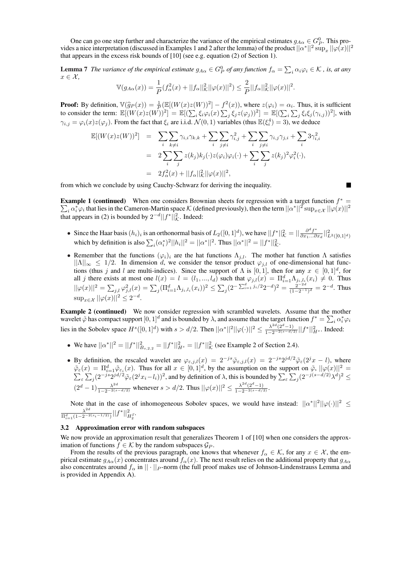One can go one step further and characterize the variance of the empirical estimates  $g_{A\alpha} \in G_P^0$ . This provides a nice interpretation (discussed in Examples 1 and 2 after the lemma) of the product  $||\alpha^*||^2 \sup_x ||\varphi(x)||^2$ that appears in the excess risk bounds of [10] (see e.g. equation (2) of Section 1).

**Lemma 7** The variance of the empirical estimate  $g_{A\alpha} \in G_P^0$  of any function  $f_\alpha = \sum_i \alpha_i \varphi_i \in \mathcal{K}$  , is, at any  $x \in \mathcal{X}$ ,

$$
\mathbb{V}(g_{A\alpha}(x)) = \frac{1}{P}(f_{\alpha}^{2}(x) + ||f_{\alpha}||_{K}^{2}||\varphi(x)||^{2}) \leq \frac{2}{P}||f_{\alpha}||_{K}^{2}||\varphi(x)||^{2}.
$$

**Proof:** By definition,  $\mathbb{V}(\widehat{g}_P(x)) = \frac{1}{P}(\mathbb{E}[(W(x)z(W))^2] - f^2(x))$ , where  $z(\varphi_i) = \alpha_i$ . Thus, it is sufficient **Proof:** By definition,  $\forall (yP(x)) = \overline{P}(\mathbb{E}[(W(x)Z(W))] = I$ <br>to consider the term:  $\mathbb{E}[(W(x)Z(W))^2] = \mathbb{E}[(\sum_i \xi_i \varphi_i(x)) \sum_i \xi_i \xi_i$  $\begin{aligned} (x), \text{ where } z(\varphi_i) = c \\ i \xi_j z(\varphi_j))^2 \end{aligned}$  =  $\mathbb{E}[(\sum_i$  $\stackrel{i}{\cdot}$  $_{j} \xi_{i} \xi_{j} (\gamma_{i,j}))^{2}$ , with  $\gamma_{i,j} = \varphi_i(x)z(\varphi_j)$ . From the fact that  $\xi_i$  are i.i.d.  $\mathcal{N}(0,1)$  variables (thus  $\mathbb{E}(\xi_i^4) = 3$ ), we deduce

$$
\mathbb{E}[(W(x)z(W))^2] = \sum_{i} \sum_{k \neq i} \gamma_{i,i} \gamma_{k,k} + \sum_{i} \sum_{j \neq i} \gamma_{i,j}^2 + \sum_{i} \sum_{j \neq i} \gamma_{i,j} \gamma_{j,i} + \sum_{i} 3\gamma_{i,i}^2
$$
  

$$
= 2\sum_{i} \sum_{j} z(k_j)k_j(\cdot)z(\varphi_i)\varphi_i(\cdot) + \sum_{i} \sum_{j} z(k_j)^2\varphi_i^2(\cdot),
$$
  

$$
= 2f_{\alpha}^2(x) + ||f_{\alpha}||_{K}^2 ||\varphi(x)||^2,
$$

from which we conclude by using Cauchy-Schwarz for deriving the inequality.

**Example 1 (continued)** When one considers Brownian sheets for regression with a target function  $f^* =$  $\hat{a}_i \alpha_i^* \varphi_i$  that lies in the Cameron-Martin space  $\mathcal K$  (defined previously), then the term  $||\alpha^*||^2 \sup_{x\in\mathcal X} ||\varphi(x)||^2$ that appears in (2) is bounded by  $2^{-d} ||f^*||^2_{\mathcal{K}}$ . Indeed:

- Since the Haar basis  $(h_i)_i$  is an orthonormal basis of  $L_2([0,1]^d)$ , we have  $||f^*||^2_{\mathcal{K}} = ||\frac{\partial^d f^*}{\partial x_1... \partial x_n}||^2_{\mathcal{K}}$ Since the Haar basis  $(h_i)_i$  is an orthonormal basis of  $L_2([0,1]^d)$ , we have  $||f^*||^2_{\mathcal{K}} = ||\frac{\partial^a f^*}{\partial x_1...\partial x_d}||^2_{L^2([0,1]^d)}$ <br>which by definition is also  $\sum_i (\alpha_i^*)^2 ||h_i||^2 = ||\alpha^*||^2$ . Thus  $||\alpha^*||^2 = ||f^*||^2_{\mathcal{K}}$ .
- Remember that the functions  $(\varphi_i)_i$  are the hat functions  $\Lambda_{i,l}$ . The mother hat function  $\Lambda$  satisfies  $||\Lambda||_{\infty} \leq 1/2$ . In dimension d, we consider the tensor product  $\varphi_{j,l}$  of one-dimensional hat functions (thus j and l are multi-indices). Since the support of  $\Lambda$  is [0, 1], then for any  $x \in [0,1]^d$ , for all j there exists at most one  $l(x) = l = (l_1, ..., l_d)$  such that  $\varphi_{j,l}(x) = \prod_{i=1}^d \Lambda_{j_i,l_i}(x_i) \neq 0$ . Thus  $||\varphi(x)||^2 = \sum_{j,l} \varphi_{j,l}^2(x) = \sum_j (\Pi_{i=1}^d \Lambda_{j_i,l_i}(x_i))^2 \leq \sum_i$  $j(2^{-\sum_{i=1}^d j_i/2}2^{-d})^2 = \frac{2^{-2d}}{(1-2^{-1})^d}$  $\frac{2^{-2a}}{(1-2^{-1})^d} = 2^{-d}$ . Thus  $\sup_{x \in \mathcal{X}} ||\varphi(x)||^2 \leq 2^{-d}.$

**Example 2 (continued)** We now consider regression with scrambled wavelets. Assume that the mother wavelet  $\tilde{\varphi}$  has compact support  $[0,1]^d$  and is bounded by  $\lambda$ , and assume that the target function  $f^*=\sum_i\alpha_i^*\varphi_i$ lies in the Sobolev space  $H^s([0,1]^d)$  with  $s > d/2$ . Then  $||\alpha^*||^2 ||\varphi(\cdot)||^2 \le \frac{\lambda^{2d}(2^d-1)}{1-2^{-2(s-d/2)}}||f^*||_{H^s}^2$ . Indeed:

- We have  $||\alpha^*||^2 = ||f^*||^2_{B_{s,2,2}} = ||f^*||^2_{H^s} = ||f^*||^2_{K}$  (see Example 2 of Section 2.4).
- By definition, the rescaled wavelet are  $\varphi_{\varepsilon,j,l}(x) = 2^{-js}\tilde{\varphi}_{\varepsilon,j,l}(x) = 2^{-js}2^{jd/2}\tilde{\varphi}_{\varepsilon}(2^jx l)$ , where  $\tilde{\varphi}_{\varepsilon}(x) = \Pi_{\varepsilon=1}^d \tilde{\varphi}_{\varepsilon_i}(x)$ . Thus for all  $x \in [0,1]^d$ , by the assumption on the support on  $\tilde{\varphi}, ||\varphi(x)||^2 =$ ε  $\frac{\nu}{\Gamma}$  $j(2^{-js}2^{jd/2}\tilde{\varphi}_{\varepsilon}(2^jx_i-l_i))^2$ , and by definition of  $\lambda$ , this is bounded by  $\sum_{\varepsilon}$  $\stackrel{\text{poi}}{\leftharpoondown}$  $j^{(2^{-j(s-d/2)}\lambda^d)^2}$  $(2^d - 1) \frac{\lambda^{2d}}{1 - 2^{-2(s - d/2)}}$  whenever  $s > d/2$ . Thus  $||\varphi(x)||^2 \le \frac{\lambda^{2d}(2^d - 1)}{1 - 2^{-2(s - d/2)}}$ .

Note that in the case of inhomogeneous Sobolev spaces, we would have instead:  $||\alpha^*||^2||\varphi(\cdot)||^2 \le$  $\lambda^{2d}$  $\frac{\lambda^{2d}}{\Pi_{i=1}^d(1-2^{-2(s_i-1/2)})}||f^*||^2_{H^{\vec{s}}_2}.$ 

#### 3.2 Approximation error with random subspaces

We now provide an approximation result that generalizes Theorem 1 of [10] when one considers the approximation of functions  $f \in \mathcal{K}$  by the random subspaces  $\mathcal{G}_P$ .

From the results of the previous paragraph, one knows that whenever  $f_{\alpha} \in \mathcal{K}$ , for any  $x \in \mathcal{X}$ , the empirical estimate  $g_{A\alpha}(x)$  concentrates around  $f_{\alpha}(x)$ . The next result relies on the additional property that  $g_{A\alpha}$ also concentrates around  $f_{\alpha}$  in  $||\cdot||_P$ -norm (the full proof makes use of Johnson-Lindenstrauss Lemma and is provided in Appendix A).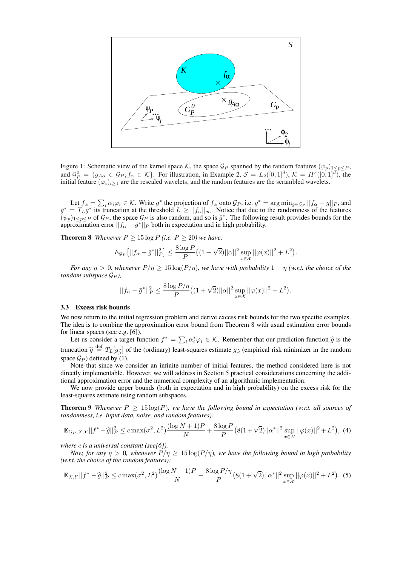

Figure 1: Schematic view of the kernel space K, the space  $\mathcal{G}_P$  spanned by the random features  $(\psi_p)_{1 \leq p \leq P}$ , and  $\mathcal{G}_P^0 = \{g_{A\alpha} \in \mathcal{G}_P, f_\alpha \in \mathcal{K}\}\$ . For illustration, in Example 2,  $\mathcal{S} = L_2([0,1]^d)$ ,  $\mathcal{K} = H^s([0,1]^d)$ , the initial feature  $(\varphi_i)_{i\geq 1}$  are the rescaled wavelets, and the random features are the scrambled wavelets.

Let  $f_{\alpha} = \sum_i \alpha_i \varphi_i \in \mathcal{K}$ . Write  $g^*$  the projection of  $f_{\alpha}$  onto  $\mathcal{G}_P$ , i.e.  $g^* = \arg \min_{g \in \mathcal{G}_P} ||f_{\alpha} - g||_P$ , and  $\bar{g}^* = T_L g^*$  its truncation at the threshold  $L \ge ||f_\alpha||_\infty$ . Notice that due to the randomness of the features  $(\psi_p)_{1 \leq p \leq P}$  of  $\mathcal{G}_P$ , the space  $\mathcal{G}_P$  is also random, and so is  $\bar{g}^*$ . The following result provides bounds for the approximation error  $||f_{\alpha} - \bar{g}^*||_P$  both in expectation and in high probability.

**Theorem 8** *Whenever*  $P \ge 15 \log P$  *(i.e.*  $P \ge 20$ *) we have:* 

$$
E_{\mathcal{G}_P}[||f_{\alpha} - \bar{g}^*||_P^2] \le \frac{8 \log P}{P} \left( (1 + \sqrt{2}) ||\alpha||^2 \sup_{x \in \mathcal{X}} ||\varphi(x)||^2 + L^2 \right).
$$

*For any*  $\eta > 0$ *, whenever*  $P/\eta \ge 15 \log(P/\eta)$ *, we have with probability*  $1 - \eta$  *(w.r.t. the choice of the random subspace*  $G_P$ *)*,

$$
||f_{\alpha} - \bar{g}^*||_P^2 \le \frac{8 \log P/\eta}{P} \left( (1 + \sqrt{2}) ||\alpha||^2 \sup_{x \in \mathcal{X}} ||\varphi(x)||^2 + L^2 \right).
$$

#### 3.3 Excess risk bounds

We now return to the initial regression problem and derive excess risk bounds for the two specific examples. The idea is to combine the approximation error bound from Theorem 8 with usual estimation error bounds for linear spaces (see e.g. [6]).

The spaces (see e.g. [6]).<br>Let us consider a target function  $f^* = \sum_i \alpha_i^* \varphi_i \in \mathcal{K}$ . Remember that our prediction function  $\hat{g}$  is the truncation  $\hat{g} \stackrel{\text{def}}{=} T_L[g_{\hat{\beta}}]$  of the (ordinary) least-squares estimate  $g_{\hat{\beta}}$  (empirical risk minimizer in the random space  $G_P$ ) defined by (1).

Note that since we consider an infinite number of initial features, the method considered here is not directly implementable. However, we will address in Section 5 practical considerations concerning the additional approximation error and the numerical complexity of an algorithmic implementation.

We now provide upper bounds (both in expectation and in high probability) on the excess risk for the least-squares estimate using random subspaces.

**Theorem 9** *Whenever*  $P \ge 15 \log(P)$ *, we have the following bound in expectation (w.r.t. all sources of randomness, i.e. input data, noise, and random features):*

$$
\mathbb{E}_{G_P, X, Y} ||f^* - \hat{g}||_P^2 \le c \max(\sigma^2, L^2) \frac{(\log N + 1)P}{N} + \frac{8 \log P}{P} \left( 8(1 + \sqrt{2}) ||\alpha^*||^2 \sup_{x \in \mathcal{X}} ||\varphi(x)||^2 + L^2 \right), \tag{4}
$$

*where* c *is a universal constant (see[6]).*

*Now, for any*  $\eta > 0$ *, whenever*  $P/\eta \ge 15 \log(P/\eta)$ *, we have the following bound in high probability (w.r.t. the choice of the random features):*

$$
\mathbb{E}_{X,Y}||f^* - \hat{g}||_P^2 \le c \max(\sigma^2, L^2) \frac{(\log N + 1)P}{N} + \frac{8 \log P/\eta}{P} \left( 8(1 + \sqrt{2}) ||\alpha^*||^2 \sup_{x \in \mathcal{X}} ||\varphi(x)||^2 + L^2 \right). \tag{5}
$$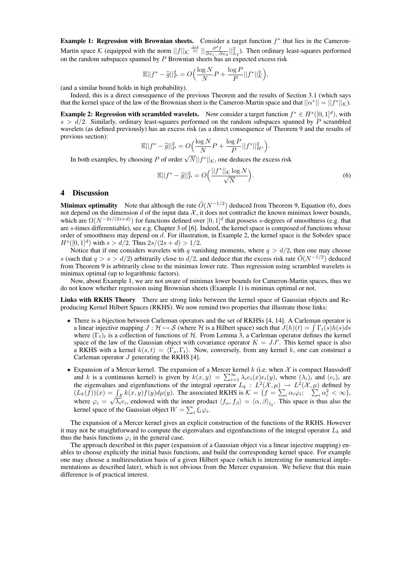Example 1: Regression with Brownian sheets. Consider a target function  $f^*$  that lies in the Cameron-Martin space K (equipped with the norm  $||f||_{\mathcal{K}} \stackrel{\text{def}}{=} ||\frac{\partial^d f}{\partial x_1...\partial x_d}||_{L_2}^2$ ). Then ordinary least-squares performed on the random subspaces spanned by  $P$  Brownian sheets has an expected excess risk

$$
\mathbb{E}||f^* - \widehat{g}||_P^2 = O\Big(\frac{\log N}{N}P + \frac{\log P}{P}||f^*||_K^2\Big),\,
$$

(and a similar bound holds in high probability).

Indeed, this is a direct consequence of the previous Theorem and the results of Section 3.1 (which says that the kernel space of the law of the Brownian sheet is the Cameron-Martin space and that  $||\alpha^*|| = ||f^*||_{\mathcal{K}}$ ).

**Example 2: Regression with scrambled wavelets.** Now consider a target function  $f^* \in H^s([0,1]^d)$ , with  $s > d/2$ . Similarly, ordinary least-squares performed on the random subspaces spanned by P scrambled wavelets (as defined previously) has an excess risk (as a direct consequence of Theorem 9 and the results of previous section): ´

$$
\mathbb{E}||f^* - \hat{g}||_P^2 = O\Big(\frac{\log N}{N}P + \frac{\log P}{P}||f^*||_{H^s}^2\Big).
$$

In both examples, by choosing P of order  $\sqrt{N}||f^*||_{\mathcal{K}}$ , one deduces the excess risk

$$
\mathbb{E}||f^* - \hat{g}||_P^2 = O\left(\frac{||f^*||_{\mathcal{K}}\log N}{\sqrt{N}}\right).
$$
 (6)

#### 4 Discussion

**Minimax optimality** Note that although the rate  $\tilde{O}(N^{-1/2})$  deduced from Theorem 9, Equation (6), does not depend on the dimension d of the input data  $\mathcal{X}$ , it does not contradict the known minimax lower bounds, which are  $\Omega(N^{-2s/(2s+d)})$  for functions defined over  $[0,1]^d$  that possess s-degrees of smoothness (e.g. that are s-times differentiable), see e.g. Chapter 3 of [6]. Indeed, the kernel space is composed of functions whose order of smoothness may depend on d. For illustration, in Example 2, the kernel space is the Sobolev space  $H^{s}([0, 1]^{d})$  with  $s > d/2$ . Thus  $2s/(2s + d) > 1/2$ .

Notice that if one considers wavelets with q vanishing moments, where  $q > d/2$ , then one may choose s (such that  $q > s > d/2$ ) arbitrarily close to  $d/2$ , and deduce that the excess risk rate  $\tilde{O}(N^{-1/2})$  deduced from Theorem 9 is arbitrarily close to the minimax lower rate. Thus regression using scrambled wavelets is minimax optimal (up to logarithmic factors).

Now, about Example 1, we are not aware of minimax lower bounds for Cameron-Martin spaces, thus we do not know whether regression using Brownian sheets (Example 1) is minimax optimal or not.

Links with RKHS Theory There are strong links between the kernel space of Gaussian objects and Reproducing Kernel Hilbert Spaces (RKHS). We now remind two properties that illustrate those links:

- There is a bijection between Carleman operators and the set of RKHSs [4, 14]. A Carleman operator is There is a bijection between Carleman operators and the set of RKHSs [4, 14]. A Carleman operator is a Hilbert space) such that  $J(h)(t) = \int \Gamma_t(s)h(s)ds$ where  $(\Gamma_t)_t$  is a collection of functions of H. From Lemma 3, a Carleman operator defines the kernel space of the law of the Gaussian object with covariance operator  $K = JJ'$ . This kernel space is also a RKHS with a kernel  $k(s, t) = \langle \Gamma_s, \Gamma_t \rangle$ . Now, conversely, from any kernel k, one can construct a Carleman operator  $J$  generating the RKHS [4].
- Expansion of a Mercer kernel. The expansion of a Mercer kernel *k* (i.e. when *X* is compact Haussdoff and *k* is a continuous kernel) is given by  $k(x, y) = \sum_{i=1}^{\infty} \lambda_i e_i(x) e_i(y)$ , where  $(\lambda_i)_i$  and  $(e_i)_i$  are the eigenvalues and eigenfunctions of the integral operator  $L_k : L^2(\mathcal{X}, \mu) \to L^2(\mathcal{X}, \mu)$  defined by  $(L_k(f))(x) = \int_{\mathcal{X}} k(x, y) f(y) d\mu(y)$ . The associated RKHS is  $\mathcal{K} = \{f = \sum_i \alpha_i \varphi_i; \sum_i \alpha_i^2 < \infty\}$ , where  $\varphi_i = \sqrt{\lambda_i} e_i$ , endowed with the inner product  $\langle f_\alpha, f_\beta \rangle = \langle \alpha, \beta \rangle_{l_2}$ . This space is thus also the kernel space of the Gaussian object  $W = \sum_i \xi_i \varphi_i$ .

The expansion of a Mercer kernel gives an explicit construction of the functions of the RKHS. However it may not be straightforward to compute the eigenvalues and eigenfunctions of the integral operator  $L_k$  and thus the basis functions  $\varphi_i$  in the general case.

The approach described in this paper (expansion of a Gaussian object via a linear injective mapping) enables to choose explicitly the initial basis functions, and build the corresponding kernel space. For example one may choose a multiresolution basis of a given Hilbert space (which is interesting for numerical implementations as described later), which is not obvious from the Mercer expansion. We believe that this main difference is of practical interest.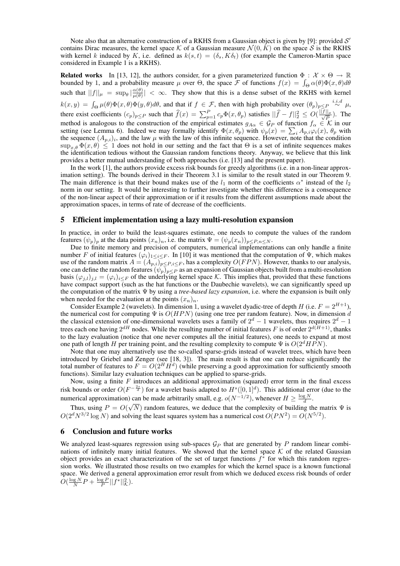Note also that an alternative construction of a RKHS from a Gaussian object is given by [9]: provided  $\mathcal{S}'$ contains Dirac measures, the kernel space K of a Gaussian measure  $\mathcal{N}(0, K)$  on the space S is the RKHS with kernel k induced by K, i.e. defined as  $k(s,t) = (\delta_s, K\delta_t)$  (for example the Cameron-Martin space considered in Example 1 is a RKHS).

**Related works** In [13, 12], the authors consider, for a given parameterized function  $\Phi : \mathcal{X} \times \Theta \to \mathbb{R}$ **Related works** In [13, 12], the authors consider, for a given parameterized function  $\Phi : \mathcal{X} \times \Theta \to \mathbb{R}$ <br>bounded by 1, and a probability measure  $\mu$  over  $\Theta$ , the space F of functions  $f(x) = \int_{\Theta} \alpha(\theta) \Phi(x, \theta) d\theta$ such that  $||f||_{\mu} = \sup_{\theta} |\frac{\alpha(\theta)}{\mu(\theta)}|$  $\frac{\alpha(\theta)}{\mu(\theta)}$  <  $\infty$ . They show that this is a dense subset of the RKHS with kernel  $k(x, y) = \int_{\Theta} \mu(\theta) \Phi(x, \theta) \Phi(y, \theta) d\theta$ , and that if  $f \in \mathcal{F}$ , then with high probability over  $(\theta_p)_{p \leq P} \stackrel{i.i.d}{\sim} \mu$ , there exist coefficients  $(c_p)_{p\leq P}$  such that  $\hat{f}(x) = \sum_{p=1}^P c_p \Phi(x, \theta_p)$  satisfies  $||\hat{f} - f||_2^2 \leq O(\frac{||f||_p}{\sqrt{P}})$  $\frac{||\mu}{P}$ ). The method is analogous to the construction of the empirical estimates  $g_{A\alpha} \in \mathcal{G}_P$  of function  $f_\alpha \in \mathcal{K}$  in our method is analogous to the construction of the empirical estimates  $g_{A\alpha} \in \mathcal{G}_P$  of function  $f_{\alpha} \in \mathcal{K}$  in our setting (see Lemma 6). Indeed we may formally identify  $\Phi(x, \theta_P)$  with  $\psi_p(x) = \sum_i A_{p,i} \varphi_i(x)$ ,  $\theta_p$  the sequence  $(A_{p,i})_i$ , and the law  $\mu$  with the law of this infinite sequence. However, note that the condition  $\sup_{x,\theta} \Phi(x,\theta) \leq 1$  does not hold in our setting and the fact that  $\Theta$  is a set of infinite sequences makes the identification tedious without the Gaussian random functions theory. Anyway, we believe that this link provides a better mutual understanding of both approaches (i.e. [13] and the present paper).

In the work [1], the authors provide excess risk bounds for greedy algorithms (i.e. in a non-linear approximation setting). The bounds derived in their Theorem 3.1 is similar to the result stated in our Theorem 9. The main difference is that their bound makes use of the  $l_1$  norm of the coefficients  $\alpha^*$  instead of the  $l_2$ norm in our setting. It would be interesting to further investigate whether this difference is a consequence of the non-linear aspect of their approximation or if it results from the different assumptions made about the approximation spaces, in terms of rate of decrease of the coefficients.

### 5 Efficient implementation using a lazy multi-resolution expansion

In practice, in order to build the least-squares estimate, one needs to compute the values of the random features  $(\psi_p)_p$  at the data points  $(x_n)_n$ , i.e. the matrix  $\Psi = (\psi_p(x_n))_{p \leq P,n \leq N}$ .

Due to finite memory and precision of computers, numerical implementations can only handle a finite number F of initial features  $(\varphi_i)_{1\leq i\leq F}$ . In [10] it was mentioned that the computation of  $\Psi$ , which makes use of the random matrix  $A = (A_{p,i})_{p \leq P, i \leq F}$ , has a complexity  $O(FPN)$ . However, thanks to our analysis, one can define the random features  $(\psi_p)_{p\leq P}$  as an expansion of Gaussian objects built from a multi-resolution basis  $(\varphi_{i,l})_{i,l} = (\varphi_i)_{i\leq F}$  of the underlying kernel space K. This implies that, provided that these functions have compact support (such as the hat functions or the Daubechie wavelets), we can significantly speed up the computation of the matrix Ψ by using a *tree-based lazy expansion*, i.e. where the expansion is built only when needed for the evaluation at the points  $(x_n)_n$ .

Consider Example 2 (wavelets). In dimension 1, using a wavelet dyadic-tree of depth H (i.e.  $F = 2^{H+1}$ ), the numerical cost for computing  $\Psi$  is  $O(HPN)$  (using one tree per random feature). Now, in dimension d the classical extension of one-dimensional wavelets uses a family of  $2^d - 1$  wavelets, thus requires  $2^d - 1$ trees each one having  $2^{dH}$  nodes. While the resulting number of initial features F is of order  $2^{d(H+1)}$ , thanks to the lazy evaluation (notice that one never computes all the initial features), one needs to expand at most one path of length H per training point, and the resulting complexity to compute  $\Psi$  is  $O(2^d H \tilde{PN})$ .

Note that one may alternatively use the so-called sparse-grids instead of wavelet trees, which have been introduced by Griebel and Zenger (see [18, 3]). The main result is that one can reduce significantly the total number of features to  $F = O(2^H H^d)$  (while preserving a good approximation for sufficiently smooth functions). Similar lazy evaluation techniques can be applied to sparse-grids.

Now, using a finite  $F$  introduces an additional approximation (squared) error term in the final excess risk bounds or order  $O(F^{-\frac{2s}{d}})$  for a wavelet basis adapted to  $H^s([0,1]^d)$ . This additional error (due to the numerical approximation) can be made arbitrarily small, e.g.  $o(N^{-1/2})$ , whenever  $H \ge \frac{\log N}{d}$ .

Thus, using  $P = O(\sqrt{N})$  random features, we deduce that the complexity of building the matrix  $\Psi$  is  $O(2^d N^{3/2} \log N)$  and solving the least squares system has a numerical cost  $O(PN^2) = O(N^{5/2})$ .

# 6 Conclusion and future works

We analyzed least-squares regression using sub-spaces  $\mathcal{G}_P$  that are generated by P random linear combinations of infinitely many initial features. We showed that the kernel space  $K$  of the related Gaussian object provides an exact characterization of the set of target functions  $f^*$  for which this random regression works. We illustrated those results on two examples for which the kernel space is a known functional space. We derived a general approximation error result from which we deduced excess risk bounds of order  $O(\frac{\log N}{N}P + \frac{\log P}{P} ||f^*||^2_{\mathcal{K}}).$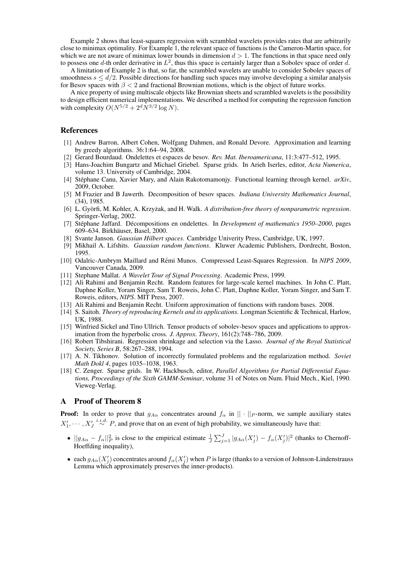Example 2 shows that least-squares regression with scrambled wavelets provides rates that are arbitrarily close to minimax optimality. For Example 1, the relevant space of functions is the Cameron-Martin space, for which we are not aware of minimax lower bounds in dimension  $d > 1$ . The functions in that space need only to possess one d-th order derivative in  $L^2$ , thus this space is certainly larger than a Sobolev space of order d.

A limitation of Example 2 is that, so far, the scrambled wavelets are unable to consider Sobolev spaces of smoothness  $s \le d/2$ . Possible directions for handling such spaces may involve developing a similar analysis for Besov spaces with  $\beta < 2$  and fractional Brownian motions, which is the object of future works.

A nice property of using multiscale objects like Brownian sheets and scrambled wavelets is the possibility to design efficient numerical implementations. We described a method for computing the regression function with complexity  $O(N^{5/2} + 2^d N^{3/2} \log N)$ .

# References

- [1] Andrew Barron, Albert Cohen, Wolfgang Dahmen, and Ronald Devore. Approximation and learning by greedy algorithms. 36:1:64–94, 2008.
- [2] Gerard Bourdaud. Ondelettes et espaces de besov. *Rev. Mat. Iberoamericana*, 11:3:477–512, 1995.
- [3] Hans-Joachim Bungartz and Michael Griebel. Sparse grids. In Arieh Iserles, editor, *Acta Numerica*, volume 13. University of Cambridge, 2004.
- [4] Stéphane Canu, Xavier Mary, and Alain Rakotomamonjy. Functional learning through kernel.  $arXiv$ , 2009, October.
- [5] M Frazier and B Jawerth. Decomposition of besov spaces. *Indiana University Mathematics Journal*, (34), 1985.
- [6] L. Györfi, M. Kohler, A. Krzyżak, and H. Walk. A distribution-free theory of nonparametric regression. Springer-Verlag, 2002.
- [7] Stéphane Jaffard. Décompositions en ondelettes. In *Development of mathematics 1950–2000*, pages 609–634. Birkhäuser, Basel, 2000.
- [8] Svante Janson. *Gaussian Hilbert spaces*. Cambridge Univerity Press, Cambridge, UK, 1997.
- [9] Mikhail A. Lifshits. *Gaussian random functions*. Kluwer Academic Publishers, Dordrecht, Boston, 1995.
- [10] Odalric-Ambrym Maillard and Rémi Munos. Compressed Least-Squares Regression. In *NIPS 2009*, Vancouver Canada, 2009.
- [11] Stephane Mallat. *A Wavelet Tour of Signal Processing*. Academic Press, 1999.
- [12] Ali Rahimi and Benjamin Recht. Random features for large-scale kernel machines. In John C. Platt, Daphne Koller, Yoram Singer, Sam T. Roweis, John C. Platt, Daphne Koller, Yoram Singer, and Sam T. Roweis, editors, *NIPS*. MIT Press, 2007.
- [13] Ali Rahimi and Benjamin Recht. Uniform approximation of functions with random bases. 2008.
- [14] S. Saitoh. *Theory of reproducing Kernels and its applications*. Longman Scientific & Technical, Harlow, UK, 1988.
- [15] Winfried Sickel and Tino Ullrich. Tensor products of sobolev-besov spaces and applications to approximation from the hyperbolic cross. *J. Approx. Theory*, 161(2):748–786, 2009.
- [16] Robert Tibshirani. Regression shrinkage and selection via the Lasso. *Journal of the Royal Statistical Society, Series B*, 58:267–288, 1994.
- [17] A. N. Tikhonov. Solution of incorrectly formulated problems and the regularization method. *Soviet Math Dokl 4*, pages 1035–1038, 1963.
- [18] C. Zenger. Sparse grids. In W. Hackbusch, editor, *Parallel Algorithms for Partial Differential Equations, Proceedings of the Sixth GAMM-Seminar*, volume 31 of Notes on Num. Fluid Mech., Kiel, 1990. Vieweg-Verlag.

## A Proof of Theorem 8

**Proof:** In order to prove that  $g_{A\alpha}$  concentrates around  $f_{\alpha}$  in  $|| \cdot ||_P$ -norm, we sample auxiliary states  $X'_1, \cdots, X'_J \stackrel{i.i.d.}{\sim} P$ , and prove that on an event of high probability, we simultaneously have that:

- $||g_{A\alpha} f_{\alpha}||_P^2$  is close to the empirical estimate  $\frac{1}{J}$  $\sum_{j=1}^{J} |g_{A\alpha}(X_j') - f_{\alpha}(X_j')|^2$  (thanks to Chernoff-Hoeffding inequality),
- each  $g_{A\alpha}(X_j)$  concentrates around  $f_{\alpha}(X_j)$  when P is large (thanks to a version of Johnson-Lindenstrauss Lemma which approximately preserves the inner-products).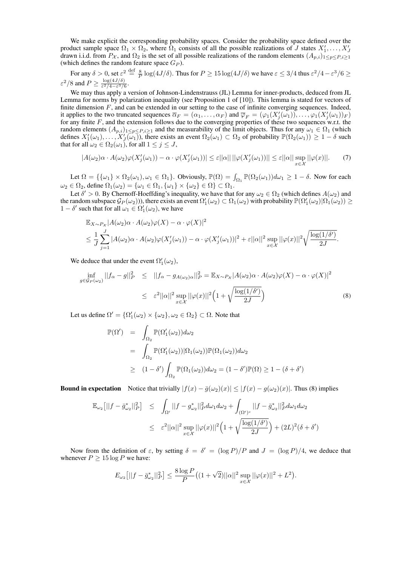We make explicit the corresponding probability spaces. Consider the probability space defined over the product sample space  $\Omega_1 \times \Omega_2$ , where  $\Omega_1$  consists of all the possible realizations of J states  $X'_1, \ldots, X'_J$ drawn i.i.d. from  $P_{\chi}$ , and  $\Omega_2$  is the set of all possible realizations of the random elements  $(A_{p,i})_{1\leq p\leq P,i\geq 1}$ (which defines the random feature space  $G_P$ ).

For any  $\delta > 0$ , set  $\varepsilon^2 \stackrel{\text{def}}{=} \frac{8}{P} \log(4J/\delta)$ . Thus for  $P \ge 15 \log(4J/\delta)$  we have  $\varepsilon \le 3/4$  thus  $\varepsilon^2/4 - \varepsilon^3/6 \ge 1$  $\varepsilon^2/8$  and  $P \geq \frac{\log(4J/\delta)}{\varepsilon^2/4-\varepsilon^3/6}$  $\frac{\log(4J/\delta)}{\varepsilon^2/4-\varepsilon^3/6}.$ 

We may thus apply a version of Johnson-Lindenstrauss (JL) Lemma for inner-products, deduced from JL Lemma for norms by polarization inequality (see Proposition 1 of [10]). This lemma is stated for vectors of finite dimension  $F$ , and can be extended in our setting to the case of infinite converging sequences. Indeed, it applies to the two truncated sequences  $\overline{\alpha}_F = (\alpha_1, \dots, \alpha_F)$  and  $\overline{\varphi}_F = (\varphi_1(X'_j(\omega_1)), \dots, \varphi_1(X'_j(\omega_1))_F)$ for any finite F, and the extension follows due to the converging properties of these two sequences w.r.t. the random elements  $(A_{p,i})_{1\leq p\leq P,i\geq 1}$  and the measurability of the limit objects. Thus for any  $\omega_1 \in \Omega_1$  (which defines  $X'_1(\omega_1), \ldots, X'_J(\omega_1)$ , there exists an event  $\Omega_2(\omega_1) \subset \Omega_2$  of probability  $\mathbb{P}(\Omega_2(\omega_1)) \geq 1 - \delta$  such that for all  $\omega_2 \in \Omega_2(\omega_1)$ , for all  $1 \leq j \leq J$ ,

$$
|A(\omega_2)\alpha \cdot A(\omega_2)\varphi(X_j'(\omega_1)) - \alpha \cdot \varphi(X_j'(\omega_1))| \le \varepsilon ||\alpha|| \, ||\varphi(X_j'(\omega_1))|| \le \varepsilon ||\alpha|| \sup_{x \in \mathcal{X}} ||\varphi(x)||. \tag{7}
$$

Let  $\Omega = \{\{\omega_1\} \times \Omega_2(\omega_1), \omega_1 \in \Omega_1\}$ . Obviously,  $\mathbb{P}(\Omega) = \int_{\Omega_1} \mathbb{P}(\Omega_2(\omega_1)) d\omega_1 \geq 1 - \delta$ . Now for each  $\omega_2 \in \Omega_2$ , define  $\Omega_1(\omega_2) = {\omega_1 \in \Omega_1, {\omega_1} \times {\omega_2} \in \Omega} \subset \Omega_1$ .

Let  $\delta' > 0$ . By Chernoff-Hoeffding's inequality, we have that for any  $\omega_2 \in \Omega_2$  (which defines  $A(\omega_2)$ ) and the random subspace  $\mathcal{G}_P(\omega_2)$ )), there exists an event  $\Omega'_1(\omega_2)\subset\Omega_1(\omega_2)$  with probability  $\mathbb{P}(\Omega'_1(\omega_2)|\Omega_1(\omega_2))\geq 0$  $1 - \delta'$  such that for all  $\omega_1 \in \Omega'_1(\omega_2)$ , we have

$$
\mathbb{E}_{X \sim P_{\mathcal{X}}} |A(\omega_2) \alpha \cdot A(\omega_2) \varphi(X) - \alpha \cdot \varphi(X)|^2
$$
  
\n
$$
\leq \frac{1}{J} \sum_{j=1}^J |A(\omega_2) \alpha \cdot A(\omega_2) \varphi(X_j'(\omega_1)) - \alpha \cdot \varphi(X_j'(\omega_1))|^2 + \varepsilon ||\alpha||^2 \sup_{x \in \mathcal{X}} ||\varphi(x)||^2 \sqrt{\frac{\log(1/\delta')}{2J}}.
$$

We deduce that under the event  $\Omega'_1(\omega_2)$ ,

$$
\inf_{g \in \mathcal{G}_P(\omega_2)} ||f_\alpha - g||_P^2 \le ||f_\alpha - g_{A(\omega_2)\alpha}||_P^2 = \mathbb{E}_{X \sim P_X} |A(\omega_2)\alpha \cdot A(\omega_2)\varphi(X) - \alpha \cdot \varphi(X)|^2
$$
  

$$
\le \varepsilon^2 ||\alpha||^2 \sup_{x \in \mathcal{X}} ||\varphi(x)||^2 \Big(1 + \sqrt{\frac{\log(1/\delta')}{2J}}\Big)
$$
(8)

Let us define  $\Omega' = {\Omega'_1(\omega_2) \times {\omega_2}, \omega_2 \in \Omega_2} \subset \Omega$ . Note that

$$
\mathbb{P}(\Omega') = \int_{\Omega_2} \mathbb{P}(\Omega'_1(\omega_2)) d\omega_2
$$
  
= 
$$
\int_{\Omega_2} \mathbb{P}(\Omega'_1(\omega_2)) |\Omega_1(\omega_2)) \mathbb{P}(\Omega_1(\omega_2)) d\omega_2
$$
  

$$
\geq (1 - \delta') \int_{\Omega_2} \mathbb{P}(\Omega_1(\omega_2)) d\omega_2 = (1 - \delta') \mathbb{P}(\Omega) \geq 1 - (\delta + \delta')
$$

**Bound in expectation** Notice that trivially  $|f(x) - \bar{g}(\omega_2)(x)| \leq |f(x) - g(\omega_2)(x)|$ . Thus (8) implies

$$
\mathbb{E}_{\omega_2} \left[ ||f - \bar{g}_{\omega_2}^*||_P^2 \right] \leq \int_{\Omega'} ||f - g_{\omega_2}^*||_P^2 d\omega_1 d\omega_2 + \int_{(\Omega')^c} ||f - \bar{g}_{\omega_2}^*||_P^2 d\omega_1 d\omega_2
$$
  

$$
\leq \varepsilon^2 ||\alpha||^2 \sup_{x \in \mathcal{X}} ||\varphi(x)||^2 \Big( 1 + \sqrt{\frac{\log(1/\delta')}{2J}} \Big) + (2L)^2 (\delta + \delta')
$$

Now from the definition of  $\varepsilon$ , by setting  $\delta = \delta' = (\log P)/P$  and  $J = (\log P)/4$ , we deduce that whenever  $P > 15 \log P$  we have:

$$
E_{\omega_2}[||f - \bar{g}_{\omega_2}^*||_P^2] \le \frac{8 \log P}{P} \big( (1 + \sqrt{2}) ||\alpha||^2 \sup_{x \in \mathcal{X}} ||\varphi(x)||^2 + L^2 \big).
$$